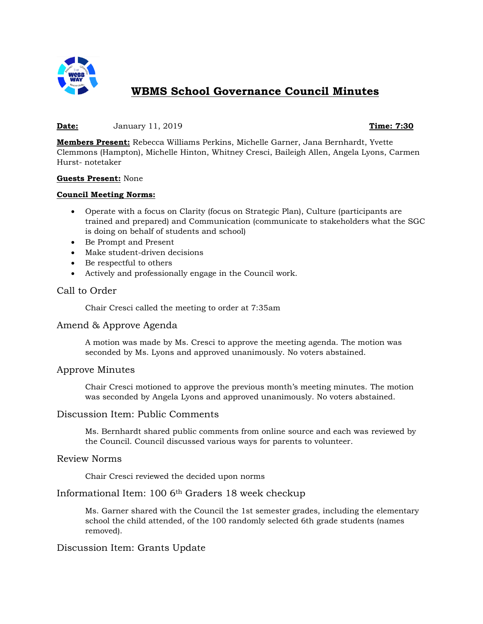

# **WBMS School Governance Council Minutes**

#### **Date:** January 11, 2019 **Time: 7:30**

**Members Present:** Rebecca Williams Perkins, Michelle Garner, Jana Bernhardt, Yvette Clemmons (Hampton), Michelle Hinton, Whitney Cresci, Baileigh Allen, Angela Lyons, Carmen Hurst- notetaker

#### **Guests Present:** None

#### **Council Meeting Norms:**

- Operate with a focus on Clarity (focus on Strategic Plan), Culture (participants are trained and prepared) and Communication (communicate to stakeholders what the SGC is doing on behalf of students and school)
- Be Prompt and Present
- Make student-driven decisions
- Be respectful to others
- Actively and professionally engage in the Council work.

# Call to Order

Chair Cresci called the meeting to order at 7:35am

# Amend & Approve Agenda

A motion was made by Ms. Cresci to approve the meeting agenda. The motion was seconded by Ms. Lyons and approved unanimously. No voters abstained.

# Approve Minutes

Chair Cresci motioned to approve the previous month's meeting minutes. The motion was seconded by Angela Lyons and approved unanimously. No voters abstained.

#### Discussion Item: Public Comments

Ms. Bernhardt shared public comments from online source and each was reviewed by the Council. Council discussed various ways for parents to volunteer.

## Review Norms

Chair Cresci reviewed the decided upon norms

# Informational Item: 100 6th Graders 18 week checkup

Ms. Garner shared with the Council the 1st semester grades, including the elementary school the child attended, of the 100 randomly selected 6th grade students (names removed).

# Discussion Item: Grants Update